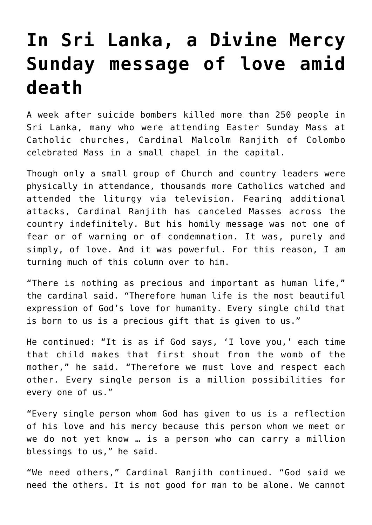## **[In Sri Lanka, a Divine Mercy](https://www.osvnews.com/2019/04/30/in-sri-lanka-a-divine-mercy-sunday-message-of-love-amid-death/) [Sunday message of love amid](https://www.osvnews.com/2019/04/30/in-sri-lanka-a-divine-mercy-sunday-message-of-love-amid-death/) [death](https://www.osvnews.com/2019/04/30/in-sri-lanka-a-divine-mercy-sunday-message-of-love-amid-death/)**

A week after suicide bombers killed more than 250 people in Sri Lanka, many who were attending Easter Sunday Mass at Catholic churches, Cardinal Malcolm Ranjith of Colombo celebrated Mass in a small chapel in the capital.

Though only a small group of Church and country leaders were physically in attendance, thousands more Catholics watched and attended the liturgy via television. Fearing additional attacks, Cardinal Ranjith has canceled Masses across the country indefinitely. But his homily message was not one of fear or of warning or of condemnation. It was, purely and simply, of love. And it was powerful. For this reason, I am turning much of this column over to him.

"There is nothing as precious and important as human life," the cardinal said. "Therefore human life is the most beautiful expression of God's love for humanity. Every single child that is born to us is a precious gift that is given to us."

He continued: "It is as if God says, 'I love you,' each time that child makes that first shout from the womb of the mother," he said. "Therefore we must love and respect each other. Every single person is a million possibilities for every one of us."

"Every single person whom God has given to us is a reflection of his love and his mercy because this person whom we meet or we do not yet know … is a person who can carry a million blessings to us," he said.

"We need others," Cardinal Ranjith continued. "God said we need the others. It is not good for man to be alone. We cannot